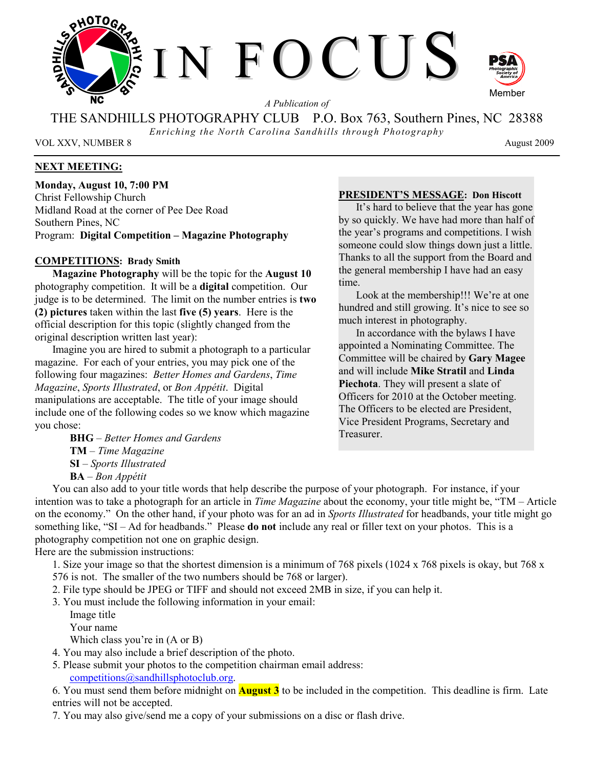

*A Publication of* 

THE SANDHILLS PHOTOGRAPHY CLUB P.O. Box 763, Southern Pines, NC 28388

*Enriching the North Carolina Sandhills through Photography* 

VOL XXV, NUMBER 8 August 2009

# **NEXT MEETING:**

**Monday, August 10, 7:00 PM**  Christ Fellowship Church Midland Road at the corner of Pee Dee Road Southern Pines, NC Program: **Digital Competition – Magazine Photography**

### **COMPETITIONS: Brady Smith**

**Magazine Photography** will be the topic for the **August 10** photography competition. It will be a **digital** competition. Our judge is to be determined. The limit on the number entries is **two (2) pictures** taken within the last **five (5) years**. Here is the official description for this topic (slightly changed from the original description written last year):

Imagine you are hired to submit a photograph to a particular magazine. For each of your entries, you may pick one of the following four magazines: *Better Homes and Gardens*, *Time Magazine*, *Sports Illustrated*, or *Bon Appétit*. Digital manipulations are acceptable. The title of your image should include one of the following codes so we know which magazine you chose:

> **BHG** – *Better Homes and Gardens* **TM** – *Time Magazine* **SI** – *Sports Illustrated* **BA** – *Bon Appétit*

# **PRESIDENT'S MESSAGE: Don Hiscott**

It's hard to believe that the year has gone by so quickly. We have had more than half of the year's programs and competitions. I wish someone could slow things down just a little. Thanks to all the support from the Board and the general membership I have had an easy time.

Look at the membership!!! We're at one hundred and still growing. It's nice to see so much interest in photography.

In accordance with the bylaws I have appointed a Nominating Committee. The Committee will be chaired by **Gary Magee** and will include **Mike Stratil** and **Linda Piechota**. They will present a slate of Officers for 2010 at the October meeting. The Officers to be elected are President, Vice President Programs, Secretary and Treasurer.

You can also add to your title words that help describe the purpose of your photograph. For instance, if your intention was to take a photograph for an article in *Time Magazine* about the economy, your title might be, "TM – Article on the economy." On the other hand, if your photo was for an ad in *Sports Illustrated* for headbands, your title might go something like, "SI – Ad for headbands." Please **do not** include any real or filler text on your photos. This is a photography competition not one on graphic design.

Here are the submission instructions:

1. Size your image so that the shortest dimension is a minimum of 768 pixels (1024 x 768 pixels is okay, but 768 x

- 576 is not. The smaller of the two numbers should be 768 or larger).
- 2. File type should be JPEG or TIFF and should not exceed 2MB in size, if you can help it.
- 3. You must include the following information in your email:
	- Image title
	- Your name

Which class you're in (A or B)

- 4. You may also include a brief description of the photo.
- 5. Please submit your photos to the competition chairman email address: competitions@sandhillsphotoclub.org.

6. You must send them before midnight on **August 3** to be included in the competition. This deadline is firm. Late entries will not be accepted.

7. You may also give/send me a copy of your submissions on a disc or flash drive.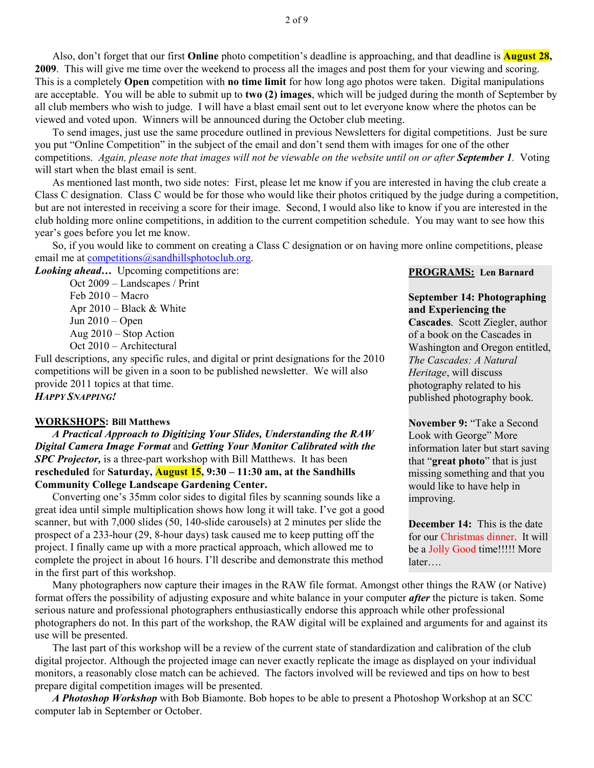Also, don't forget that our first **Online** photo competition's deadline is approaching, and that deadline is **August 28, 2009**. This will give me time over the weekend to process all the images and post them for your viewing and scoring. This is a completely **Open** competition with **no time limit** for how long ago photos were taken. Digital manipulations are acceptable. You will be able to submit up to **two (2) images**, which will be judged during the month of September by all club members who wish to judge. I will have a blast email sent out to let everyone know where the photos can be viewed and voted upon. Winners will be announced during the October club meeting.

To send images, just use the same procedure outlined in previous Newsletters for digital competitions. Just be sure you put "Online Competition" in the subject of the email and don't send them with images for one of the other competitions. *Again, please note that images will not be viewable on the website until on or after September 1.* Voting will start when the blast email is sent.

As mentioned last month, two side notes: First, please let me know if you are interested in having the club create a Class C designation. Class C would be for those who would like their photos critiqued by the judge during a competition, but are not interested in receiving a score for their image. Second, I would also like to know if you are interested in the club holding more online competitions, in addition to the current competition schedule. You may want to see how this year's goes before you let me know.

So, if you would like to comment on creating a Class C designation or on having more online competitions, please email me at competitions@sandhillsphotoclub.org.

*Looking ahead...* Upcoming competitions are:

Oct 2009 – Landscapes / Print Feb 2010 – Macro Apr 2010 – Black & White Jun 2010 – Open Aug 2010 – Stop Action Oct 2010 – Architectural

Full descriptions, any specific rules, and digital or print designations for the 2010 competitions will be given in a soon to be published newsletter. We will also provide 2011 topics at that time. *HAPPY SNAPPING!*

# **WORKSHOPS: Bill Matthews**

 *A Practical Approach to Digitizing Your Slides, Understanding the RAW Digital Camera Image Format* and *Getting Your Monitor Calibrated with the SPC Projector,* is a three-part workshop with Bill Matthews. It has been **rescheduled** for **Saturday, August 15, 9:30 – 11:30 am, at the Sandhills Community College Landscape Gardening Center.** 

 Converting one's 35mm color sides to digital files by scanning sounds like a great idea until simple multiplication shows how long it will take. I've got a good scanner, but with 7,000 slides (50, 140-slide carousels) at 2 minutes per slide the prospect of a 233-hour (29, 8-hour days) task caused me to keep putting off the project. I finally came up with a more practical approach, which allowed me to complete the project in about 16 hours. I'll describe and demonstrate this method in the first part of this workshop.

#### **PROGRAMS: Len Barnard**

**and Experiencing the** 

**September 14: Photographing** 

**Cascades**. Scott Ziegler, author of a book on the Cascades in Washington and Oregon entitled, *The Cascades: A Natural Heritage*, will discuss photography related to his published photography book. **November 9:** "Take a Second

Look with George" More information later but start saving that "**great photo**" that is just missing something and that you would like to have help in improving.

**December 14:** This is the date for our Christmas dinner. It will be a Jolly Good time!!!!! More later….

 Many photographers now capture their images in the RAW file format. Amongst other things the RAW (or Native) format offers the possibility of adjusting exposure and white balance in your computer *after* the picture is taken. Some serious nature and professional photographers enthusiastically endorse this approach while other professional photographers do not. In this part of the workshop, the RAW digital will be explained and arguments for and against its use will be presented.

 The last part of this workshop will be a review of the current state of standardization and calibration of the club digital projector. Although the projected image can never exactly replicate the image as displayed on your individual monitors, a reasonably close match can be achieved. The factors involved will be reviewed and tips on how to best prepare digital competition images will be presented.

 *A Photoshop Workshop* with Bob Biamonte. Bob hopes to be able to present a Photoshop Workshop at an SCC computer lab in September or October.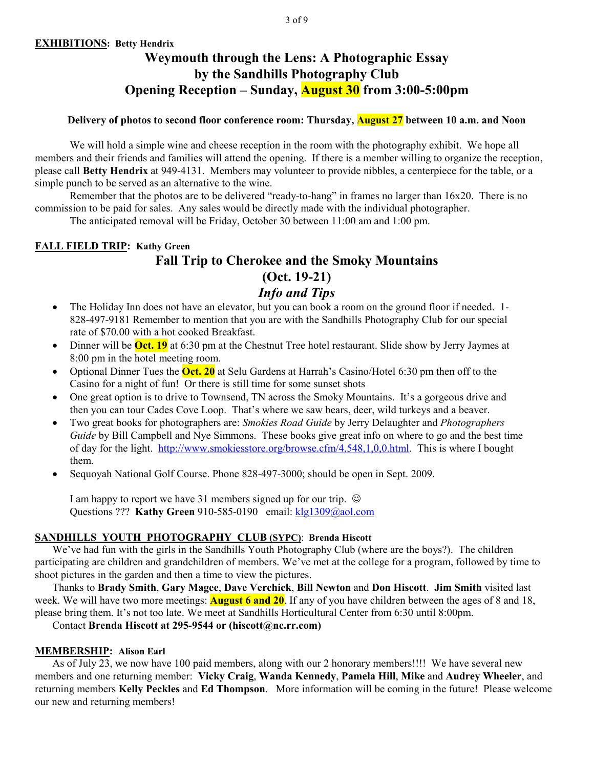# **Weymouth through the Lens: A Photographic Essay by the Sandhills Photography Club Opening Reception – Sunday, August 30 from 3:00-5:00pm**

# **Delivery of photos to second floor conference room: Thursday, August 27 between 10 a.m. and Noon**

We will hold a simple wine and cheese reception in the room with the photography exhibit. We hope all members and their friends and families will attend the opening. If there is a member willing to organize the reception, please call **Betty Hendrix** at 949-4131. Members may volunteer to provide nibbles, a centerpiece for the table, or a simple punch to be served as an alternative to the wine.

Remember that the photos are to be delivered "ready-to-hang" in frames no larger than 16x20. There is no commission to be paid for sales. Any sales would be directly made with the individual photographer. The anticipated removal will be Friday, October 30 between 11:00 am and 1:00 pm.

**FALL FIELD TRIP: Kathy Green Fall Trip to Cherokee and the Smoky Mountains (Oct. 19-21)**  *Info and Tips* 

- The Holiday Inn does not have an elevator, but you can book a room on the ground floor if needed. 1-828-497-9181 Remember to mention that you are with the Sandhills Photography Club for our special rate of \$70.00 with a hot cooked Breakfast.
- Dinner will be **Oct. 19** at 6:30 pm at the Chestnut Tree hotel restaurant. Slide show by Jerry Jaymes at 8:00 pm in the hotel meeting room.
- Optional Dinner Tues the **Oct. 20** at Selu Gardens at Harrah's Casino/Hotel 6:30 pm then off to the Casino for a night of fun! Or there is still time for some sunset shots
- One great option is to drive to Townsend, TN across the Smoky Mountains. It's a gorgeous drive and then you can tour Cades Cove Loop. That's where we saw bears, deer, wild turkeys and a beaver.
- Two great books for photographers are: *Smokies Road Guide* by Jerry Delaughter and *Photographers Guide* by Bill Campbell and Nye Simmons. These books give great info on where to go and the best time of day for the light. http://www.smokiesstore.org/browse.cfm/4,548,1,0,0.html. This is where I bought them.
- Sequoyah National Golf Course. Phone 828-497-3000; should be open in Sept. 2009.

I am happy to report we have 31 members signed up for our trip.  $\odot$ Questions ??? **Kathy Green** 910-585-0190 email: **klg1309@aol.com** 

# **SANDHILLS YOUTH PHOTOGRAPHY CLUB (SYPC)**: **Brenda Hiscott**

We've had fun with the girls in the Sandhills Youth Photography Club (where are the boys?). The children participating are children and grandchildren of members. We've met at the college for a program, followed by time to shoot pictures in the garden and then a time to view the pictures.

Thanks to **Brady Smith**, **Gary Magee**, **Dave Verchick**, **Bill Newton** and **Don Hiscott**. **Jim Smith** visited last week. We will have two more meetings: **August 6 and 20**. If any of you have children between the ages of 8 and 18, please bring them. It's not too late. We meet at Sandhills Horticultural Center from 6:30 until 8:00pm.

Contact **Brenda Hiscott at 295-9544 or (hiscott@nc.rr.com)** 

# **MEMBERSHIP: Alison Earl**

As of July 23, we now have 100 paid members, along with our 2 honorary members!!!! We have several new members and one returning member: **Vicky Craig**, **Wanda Kennedy**, **Pamela Hill**, **Mike** and **Audrey Wheeler**, and returning members **Kelly Peckles** and **Ed Thompson**. More information will be coming in the future! Please welcome our new and returning members!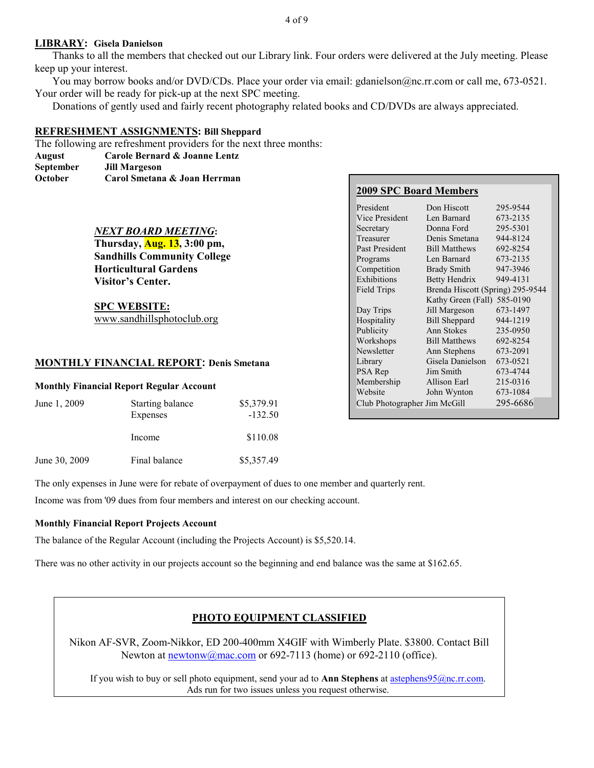#### **LIBRARY: Gisela Danielson**

 Thanks to all the members that checked out our Library link. Four orders were delivered at the July meeting. Please keep up your interest.

 You may borrow books and/or DVD/CDs. Place your order via email: gdanielson@nc.rr.com or call me, 673-0521. Your order will be ready for pick-up at the next SPC meeting.

Donations of gently used and fairly recent photography related books and CD/DVDs are always appreciated.

#### **REFRESHMENT ASSIGNMENTS: Bill Sheppard**

The following are refreshment providers for the next three months:

**August Carole Bernard & Joanne Lentz September Jill Margeson** 

**October Carol Smetana & Joan Herrman** 

### *NEXT BOARD MEETING***:**

**Thursday, Aug. 13, 3:00 pm, Sandhills Community College Horticultural Gardens Visitor's Center.** 

**SPC WEBSITE:** www.sandhillsphotoclub.org

### **MONTHLY FINANCIAL REPORT: Denis Smetana**

#### **Monthly Financial Report Regular Account**

| June 1, 2009  | Starting balance | \$5,379.91 |
|---------------|------------------|------------|
|               | Expenses         | $-132.50$  |
|               | Income           | \$110.08   |
| June 30, 2009 | Final balance    | \$5,357.49 |

# **2009 SPC Board Members**

| President                    | Don Hiscott                      | 295-9544 |
|------------------------------|----------------------------------|----------|
| Vice President               | Len Barnard                      | 673-2135 |
| Secretary                    | Donna Ford                       | 295-5301 |
| Treasurer                    | Denis Smetana                    | 944-8124 |
| Past President               | <b>Bill Matthews</b>             | 692-8254 |
| Programs                     | Len Barnard                      | 673-2135 |
| Competition                  | <b>Brady Smith</b>               | 947-3946 |
| Exhibitions                  | <b>Betty Hendrix</b>             | 949-4131 |
| <b>Field Trips</b>           | Brenda Hiscott (Spring) 295-9544 |          |
|                              | Kathy Green (Fall)               | 585-0190 |
| Day Trips                    | Jill Margeson                    | 673-1497 |
| Hospitality                  | <b>Bill Sheppard</b>             | 944-1219 |
| Publicity                    | Ann Stokes                       | 235-0950 |
| Workshops                    | <b>Bill Matthews</b>             | 692-8254 |
| Newsletter                   | Ann Stephens                     | 673-2091 |
| Library                      | Gisela Danielson                 | 673-0521 |
| PSA Rep                      | Jim Smith                        | 673-4744 |
| Membership                   | Allison Earl                     | 215-0316 |
| Website                      | John Wynton                      | 673-1084 |
| Club Photographer Jim McGill |                                  | 295-6686 |

The only expenses in June were for rebate of overpayment of dues to one member and quarterly rent.

Income was from '09 dues from four members and interest on our checking account.

#### **Monthly Financial Report Projects Account**

The balance of the Regular Account (including the Projects Account) is \$5,520.14.

There was no other activity in our projects account so the beginning and end balance was the same at \$162.65.

# **PHOTO EQUIPMENT CLASSIFIED**

Nikon AF-SVR, Zoom-Nikkor, ED 200-400mm X4GIF with Wimberly Plate. \$3800. Contact Bill Newton at  $\frac{newtonw(\partial_{\text{mac.com}})}{newtonw(\partial_{\text{mac.com}})}$  or 692-7113 (home) or 692-2110 (office).

If you wish to buy or sell photo equipment, send your ad to **Ann Stephens** at astephens95@nc.rr.com. Ads run for two issues unless you request otherwise.